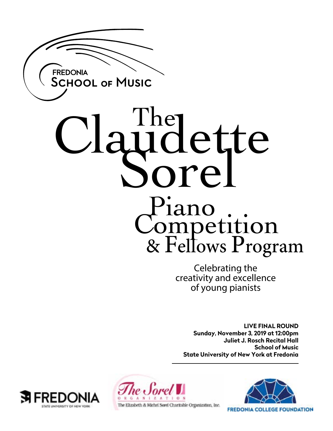

# The Lette nre. Piano Competition & Fellows Program

Celebrating the creativity and excellence of young pianists

**LIVE FINAL ROUND Sunday, November 3, 2019 at 12:00pm Juliet J. Rosch Recital Hall School of Music State University of New York at Fredonia**







**FREDONIA COLLEGE FOUNDATION**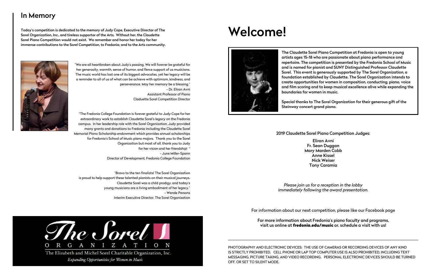# Welcome!



2019 Claudette Sorel Piano Competition Judges:

Eliran Avni Fr. Sean Duggan Mary Marden Cobb Anne Kissel Nick Weiser Tony Caramia

*Please join us for a reception in the lobby immediately following the award presentation.*

PHOTOGRAPHY AND ELECTRONIC DEVICES: THE USE OF CAMERAS OR RECORDING DEVICES OF ANY KIND IS STRICTLY PROHIBITED. CELL PHONE OR LAP TOP COMPUTER USE IS ALSO PROHIBITED, INCLUDING TEXT MESSAGING, PICTURE TAKING, AND VIDEO RECORDING. PERSONAL ELECTRONIC DEVICES SHOULD BE TURNED OFF, OR SET TO SILENT MODE.

The Claudette Sorel Piano Competition at Fredonia is open to young artists ages 15-18 who are passionate about piano performance and repertoire. The competition is presented by the Fredonia School of Music and is named for pianist and SUNY Distinguished Professor Claudette Sorel. This event is generously supported by The Sorel Organization, a foundation established by Claudette. The Sorel Organization intends to create opportunities for women in composition, conducting, piano, voice and film scoring and to keep musical excellence alive while expanding the boundaries for women in music.

Special thanks to The Sorel Organization for their generous gift of the Steinway concert grand piano.

For information about our next competition, please like our Facebook page

For more information about Fredonia's piano faculty and programs, visit us online at fredonia.edu/music or, schedule a visit with us!

# In Memory

Today's competition is dedicated to the memory of Judy Cope, Executive Director of The Sorel Organization, Inc., and tireless supportor of the Arts. Without her, the Claudette Sorel Piano Competition would not exist. We remember and honor her today for her immense contributions to the Sorel Competition, to Fredonia, and to the Arts community.



"We are all heartbroken about Judy's passing. We will forever be grateful for her generosity, warmth, sense of humor, and fierce support of us musicians. The music world has lost one of its biggest advocates, yet her legacy will be a reminder to all of us of what can be achieve with optimism, kindness, and perseverance. May her memory be a blessing." - Dr. Eliran Avni

Assistant Professor of Piano Claduette Sorel Competition Director

"The Fredonia College Foundation is forever grateful to Judy Cope for her extraordinary work to establish Claudette Sorel's legacy on the Fredonia campus. In her leadership role with the Sorel Organization, Judy provided many grants and donations to Fredonia including the Claudette Sorel Memorial Piano Scholarship endowment which provides annual scholarships for Fredonia's School of Music piano majors. Thank you to the Sorel Organization but most of all, thank you to Judy for her vision and her friendship! ' - June Miller-Spann Director of Development, Fredonia College Foundation

"Bravo to the ten finalists! The Sorel Organization is proud to help support these talented pianists on their musical journeys. Claudette Sorel was a child prodigy, and today's young musicians are a living embodiment of her legacy." - Wende Persons Interim Executive Director, The Sorel Organization



Expanding Opportunities for Women in Music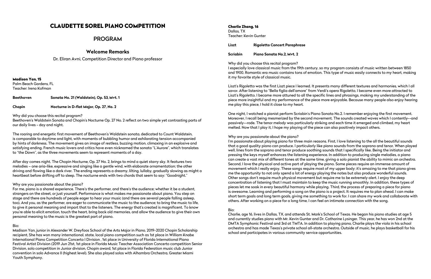# CLAUDETTE SOREL PIANO COMPETITION

# PROGRAM

# **Welcome Remarks**

Dr. Eliran Avni, Competition Director and Piano professor

Madison Yan, 15 Palm Beach Gardens, FL Teacher: Irena Kofman

**Beethoven Sonata No. 21 (Waldstein), Op. 53, Mvt. 1**

**Chopin Nocturne in D-flat Major, Op. 27, No. 2**

#### Why did you choose this recital program?

Beethoven's Waldstein Sonata and Chopin's Nocturne Op. 27 No. 2 reflect on two simple yet contrasting parts of our daily lives - day and night.

The roaring and energetic first movement of Beethoven's Waldstein sonata, dedicated to Count Waldstein, is comparable to daytime and light, with moments of bubbling humor and exhilarating tension accompanied by hints of darkness. The movement gives an image of restless, buzzing motion, climaxing in an explosive and satisfying ending. French music lovers and critics have even nicknamed the sonata "L'Aurore", which translates to "the Dawn", as the three movements seem to represent moments of a day.

After day comes night. The Chopin Nocturne, Op. 27 No. 2, brings to mind a quiet starry sky. It features two melodies – one aria-like, expressive and singing like a gentle wind, with elaborate ornamentation; the other driving and flowing like a dark river. The ending represents a dreamy, lilting, lullaby, gradually slowing as might a heartbeat before drifting off to sleep. The nocturne ends with two chords that seem to say: "Goodnight."

#### Why are you passionate about the piano?

For me, piano is a shared experience. There's the performer, and there's the audience; whether it be a student, strangers on the street, or just yourself. Performance is what makes me passionate about piano. You step on stage and there are hundreds of people eager to hear your music (and there are several people falling asleep, too). And you, as the performer, are eager to communicate the music to the audience; to bring the music to life, to give it personal meaning and impart that to the listeners. The energy that's created is magnificent. To know you're able to elicit emotion, touch the heart, bring back old memories, and allow the audience to give their own personal meaning to the music is the greatest part of piano.

#### Bio:

Madison Yan, junior in Alexander W. Dreyfoos School of the Arts Major in Piano, 2019-2020 Chopin Scholarship recipient, She has won many international, state, local piano competition such as 1st place in William Knabe International Piano Competition Concerto I Division , 1st place in University of Florida International Piano Festival Artist Division (2019 Jun 21st, 1st place in Florida Music Teacher Association Concerto competition Senior Division, solo competition in Junior division, Chopin award, 1st place in Florida Federation music club Junior convention in solo Advance II (highest level). She also played solos with Alhambra Orchestra, Greater Miami Youth Symphony.

### Charlie Zhang, 16

Dallas, TX Teacher: Kevin Gunter

| Liszt           | <b>Rigoletto Concert Paraphrase</b> |  |
|-----------------|-------------------------------------|--|
| <b>Scriabin</b> | Piano Sonata No.2, Mvt. 2           |  |

Why did you choose this recital program? I especially love classical music from the 19th century, so my program consists of music written between 1850 and 1900. Romantic era music contains tons of emotion. This type of music easily connects to my heart, making it my favorite style of classical music.

Liszt's Rigoletto was the first Liszt piece I learned. It presents many different textures and harmonies, which I all savor. After listening to "Bella figlia dell'amore" from Verdi's opera Rigoletto, I became even more attracted to Liszt's Rigoletto. I became more attuned to all the specific lines and phrasings, making my understanding of the piece more insightful and my performance of the piece more enjoyable. Because many people also enjoy hearing me play this piece, I hold it close to my heart.

One night, I watched a pianist perform Scriabin's Piano Sonata No.2. I remember enjoying the first movement. Moreover, I recall being mesmerized by the second movement. The sounds created waves which I contently--and passively--rode. The tenor melody was particularly striking and each time it emerged and climbed, my heart melted. Now that I play it, I hope my playing of the piece can also positively impact others.

Why are you passionate about the piano?

I'm passionate about playing piano for three main reasons. First, I love listening to the all the beautiful sounds that a good quality piano can produce. I particularly like piano sounds from the soprano and tenor. When played well, lines from the soprano and tenor produce soothing sounds that I specifically like. Being the initiator and pressing the keys myself enhances the listening experience. In addition to producing single melodies, a piano can create a vast mix of different tones at the same time, giving a solo pianist the ability to mimic an orchestra. Second, I love the physical and active part of playing the piano. Some pieces require an immense amount of movement which I really enjoy. These songs require most of my upper body; it's amazing to me that piano gives me the opportunity to not only spend a lot of energy playing the notes but also produce wonderful sounds. Other songs don't require much physical movement but require me to be extremely alert. I enjoy the deep concentration of listening that I must maintain to keep the music running smoothly. In addition, these types of pieces let me soak in every beautiful harmony while playing. Third, the process of preparing a piece for piano is awesome. Learning and performing a song on the piano is a project. It requires me to plan ahead. I can make short term goals and long term goals, giving me something to work for. I can share my work and collaborate with others. After working on a piece for a long time, I can feel an intimate connection with the song.

#### Bio:

Charlie, age 16, lives in Dallas, TX, and attends St. Mark's School of Texas. He began his piano studies at age 5 and currently studies piano with Mr. Kevin Gunter and Dr. Catharine Lysinger. This year, he has won 2nd at the DMTA Symphonic Festival and 3rd at TMTA. In addition to playing piano, Charlie plays the viola in his school orchestra and has made Texas's private school all-state orchestra. Outside of music, he plays basketball for his school and participates in various community service opportunities.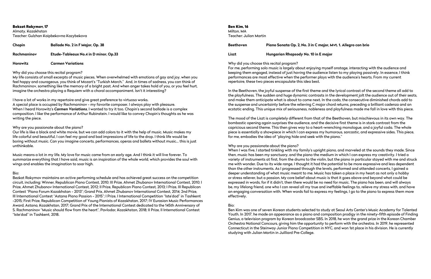Bekzat Rakymov, 17

Almaty, Kazakhstan Teacher: Gulzhan Kaipbekovna Kazybekova

| Chopin      | <b>Ballade No. 2 in F Major, Op. 38</b> |
|-------------|-----------------------------------------|
| Rachmaninov | Etude-Tableaux No.4 in D minor, Op.33   |

**Horowitz** *Carmen* **Variations**

#### Why did you choose this recital program?

My life consists of small excerpts of music pieces. When overwhelmed with emotions of gay and joy, when you feel happy and courageous, you think of Mozart's "Turkish March." And, in times of sadness, you can think of Rachmaninov, something like the memory of a bright past. And when anger takes hold of you, or you feel hurt, imagine the orchestra playing a Requiem with a choral accompaniment. Isn't it interesting?

I have a lot of works in my repertoire and give great preference to virtuoso works.

A special place is occupied by Rachmaninov - my favorite composer. I always play with pleasure. When I heard Horowitz's *Carmen Variations*, I wanted to try it too. Chopin's second ballade is a complex composition. I like the performance of Arthur Rubinstein. I would like to convey Chopin's thoughts as he was writing the piece.

Why are you passionate about the piano?

Our life is like a black and white movie, but we can add colors to it with the help of music. Music makes my life colorful and beautiful, I can feel my good and bad impressions of life to the drop. I think life would be boring without music. Can you imagine concerts, performances, operas and ballets without music… this is just unthinkable.

Music means a lot in my life. My love for music came from an early age. And I think it will live forever. To summarize everything that I have said, music is an inspiration of the whole world, which provides the soul with wings and enables the imagination to soar high.

#### Bio:

Bezkat Rakymov maintains an active performing schedule and has achieved great success on the competition circuit, including: Winner, Republican Piano Contest, 2010; III Prize, Ahmet Zhubanov International Contest, 2010; I Prize, Ahmet Zhubanov International Contest, 2012; II Prize, Republican Piano Contest, 2013; I Prize, III Republican Contest "Piano Forum Kazakhstan - 2013"; Grand Prix, Ahmet Zhubanov International Contest, 2014; 2nd Prize, III International Contest "Astana Piano Passion - 2015"; I Prize, I International Competition "Iste'dod" in Tashkent -2015; First Prize, Republican Competition of Young Pianists of Kazakhstan, 2017; IV Eurasian Music Performances Award, Astana, Kazakhstan, 2017; Grand Prix of the International Contest dedicated to the 145th Anniversary of S. Rachmaninov "Music should flow from the heart", Pavlodar, Kazakhstan, 2018; II Prize, II International Contest "Iste'dod" in Tashkent, 2018.

Ben Kim, 16 Milton, MA Teacher: Julian Martin

| <b>Beethoven</b> | Piano Sonata Op. 2, No. 3 in C major, Mvt. 1. Allegro con brio |  |  |
|------------------|----------------------------------------------------------------|--|--|
| Liszt            | Hungarian Rhapsody No. 10 in E major                           |  |  |

Why did you choose this recital program? For me, performing solo music is largely about enjoying myself onstage, interacting with the audience and keeping them engaged, instead of just having the audience listen to my playing passively. In essence, I think performances are most effective when the performer plays with the audience's hearts. From my current repertoire, these two pieces encapsulate this idea best.

In the Beethoven, the joyful suspense of the first theme and the lyrical contrast of the second theme all add to the playfulness. The sudden and huge dynamic contrasts in the development jolt the audience out of their seats, and make them anticipate what is about to come next. In the coda, the consecutive diminished chords add to the suspense and uncertainty before the relieving C major chord returns, preceding a brilliant cadenza and an ecstatic ending. This unique mix of seriousness, nobleness and playfulness made me fall in love with this piece.

The mood of the Liszt is completely different from that of the Beethoven, but mischievous in its own way. The bombastic opening again surprises the audience, and the decisive first theme is in stark contrast from the capricious second theme. This then gives way to a heart-wrenching monologue, and a joyful coda. The whole piece is essentially a showpiece in which I can express my humorous, sarcastic, and expressive sides. This piece, for me, embodies the idea of "playing hide and seek with the piano."

Why are you passionate about the piano?

When I was five, I started tinkling with my family's upright piano, and marveled at the sounds they made. Since then, music has been my sanctuary, and the piano the medium in which I can express my creativity. I tried a variety of instruments at first, from the drums to the violin, but the piano in particular stayed with me and struck me with wonder. Due to its wide range, I thought it had the potential to be more expressive and less dependent than the other instruments. As I progressed through the levels, performed and attended concerts, I gained a deeper understanding of what music meant to me. Music has taken a place in my heart as not only a hobby or stress reliever, but a passion. My core belief about music is that it goes above and beyond what could be expressed in words, for if it didn't, then there would be no need for music. The piano has been, and will always be, my lifelong friend, one who I can reveal all my true and ineffable feelings to, relieve my stress with, and have an engaging conversation with. When words fail to express my feelings, I go to the piano to express them more effectively.

#### Bio:

Ben Kim was one of seven Korean students selected to study at Seoul Arts Center's Music Academy for Talented Youth. In 2017, he made an appearance as a piano and composition prodigy in the ninety-fifth episode of Finding Genius, a television program by Korean broadcaster SBS. In 2018, he won the grand prize in the Korean Chamber Orchestra National Concours, giving him the opportunity to perform with the orchestra. In 2019, he represented Connecticut in the Steinway Junior Piano Competition in NYC, and won 1st place in his division. He is currently studying with Julian Martin in Juilliard Pre-College.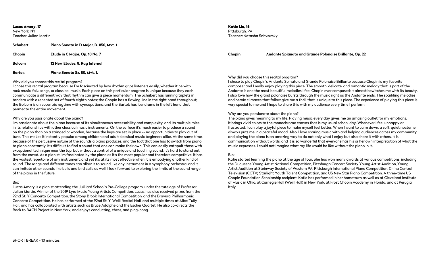Lucas Amory, 17 New York, NY Teacher: Julian Martin

| Schubert | Piano Sonata in D Major, D. 850, Myt. 1 |  |  |
|----------|-----------------------------------------|--|--|
| Chopin   | Etude in C Major, Op. 10 No. 7          |  |  |
| Bolcom   | 12 New Etudes: 8. Rag Infernal          |  |  |
| Bartok   | Piano Sonata Sz. 80, Mvt. 1.            |  |  |

Why did you choose this recital program?

I chose this recital program because I'm fascinated by how rhythm grips listeners easily, whether it be with rock music, folk songs, or classical music. Each piece on this particular program is unique because they each communicate a different way that rhythm can give a piece momentum. The Schubert has running triplets in tandem with a repeated set of fourth eighth notes; the Chopin has a flowing line in the right hand throughout; the Bolcom is an eccentric ragtime with syncopations; and the Bartok has low drums in the left hand that permeate the entire movement.

#### Why are you passionate about the piano?

I'm passionate about the piano because of its simultaneous accessability and complexity, and its multiple roles in its relationships with other classical music instruments. On the surface it's much easier to produce a sound on the piano than on a stringed or wooden, because the keys are set in place -- no opportunities to play out of tune. This makes it instantly popular among children and adult classical music beginners alike. At the same time, because of the percussive nature of the sounds a piano produces, and the fact that one has to switch from piano to piano constantly, it's difficult to find a sound that one can make their own. This can easily catapult those with exceptional technique near the top, but without a control of a unique and touching sound, it's hard to stand out from the crowd. As a pianist I'm fascinated by the piano as it's the most popular and therefore competitive, it has the vastest repertoire of any instrument, and yet it's at its most effective when it is embodying another kind of sound. The range and different tones can allow it to sound like any instrument in a symphony orchestra, and it can imitate other sounds like bells and bird calls as well. I look forward to exploring the limits of the sound range of the piano in the future.

#### Bio:

Lucas Amory is a pianist attending the Juilliard School's Pre-College program, under the tutelage of Professor Julian Martin. Winner of the 2019 Lyra Music Young Artists Competition, Lucas has also received prizes from the 92nd St. Y Concerto Competition, the Stony Brook International Competition, and the Bravura Philharmonic Concerto Competition. He has performed at the 92nd St. Y, Weill Recital Hall, and multiple times at Alice Tully Hall, and has collaborated with artists such as Bruce Adolphe and the Escher Quartet. He also co-directs the Back to BACH Project in New York, and enjoys conducting, chess, and ping-pong.

Katie Liu, 16

Pittsburgh, PA Teacher: Natasha Snitkovsky

#### **Chopin Andante Spianato and Grande Polonaise Brillante, Op. 22**

Why did you choose this recital program? I chose to play Chopin's Andante Spinato and Grande Polonaise Brillante because Chopin is my favorite composer and I really enjoy playing this piece. The smooth, delicate, and romantic melody that is part of the Andante is one the most beautiful melodies I feel Chopin ever composed; it almost bewitches me with its beauty. I also love how the grand polonaise bursts through the music right as the Andante ends. The sparkling melodies and heroic climaxes that follow give me a thrill that is unique to this piece. The experience of playing this piece is very special to me and I hope to share this with my audience every time I perform.

#### Why are you passionate about the piano?

The piano gives meaning to my life. Playing music every day gives me an amazing outlet for my emotions. It brings vivid colors to the monochrome canvas that is my usual school day. Whenever I feel unhappy or frustrated, I can play a joyful piece to make myself feel better. When I want to calm down, a soft, quiet nocturne always puts me in a peaceful mood. Also, I love sharing music with and helping audiences across my community, and playing the piano is an amazing way to do not only what I enjoy but also share it with others. It is communication without words, and it is so wonderful that everyone has his or her own interpretation of what the music expresses. I could not imagine what my life would be like without the piano in it.

Bio:

Katie started learning the piano at the age of four. She has won many awards at various competitions, including the Duquesne Young Artist National Competition, Pittsburgh Concert Society Young Artist Audition, Young Artist Audition at Steinway Society of Western PA, Pittsburgh International Piano Competition, China Central Television (CCTV) Starlight Youth Talent Competition, and US New Star Piano Competition. A three-time US Chopin Foundation Scholarship recipient, Katie has performed in her hometown as well as at Cleveland Institute of Music in Ohio, at Carnegie Hall (Weill Hall) in New York, at Frost Chopin Academy in Florida, and at Perugia, Italy.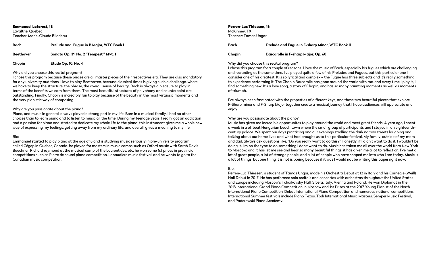Emmanuel Laforest, 18 Lavaltrie, Québec Teacher: Marie-Claude Bilodeau

#### Why did you choose this recital program?

I chose this program because these pieces are all master pieces of their respectives era. They are also mandatory for any university auditions. I love to play Beethoven, because classical times is giving such a challenge, where we have to keep the structure, the phrase, the overall sense of beauty. Bach is always a pleasure to play in terms of the benefits we earn from them. The most beautiful structures of polyphony and counterpoint are outstanding. Finally, Chopin is incredibly fun to play because of the beauty in the most virtuosic moments and the very pianistic way of composing.

#### Why are you passionate about the piano?

| <b>Bach</b>      | Prelude and Fugue in B Major, WTC Book I | <b>Bach</b>                              | <b>Prelude and Fugue in F-sharp Mino</b>   |  |
|------------------|------------------------------------------|------------------------------------------|--------------------------------------------|--|
| <b>Beethoven</b> | Sonata Op. 31, No. 2 "Tempest," Myt. 1   | Chopin                                   | <b>Barcarolle in F-sharp Major, Op. 60</b> |  |
| Chopin           | <b>Etude Op. 10, No. 4</b>               | Why did you choose this recital program? |                                            |  |

Piano, and music in general, always played a strong part in my life. Born in a musical family, I had no other choices than to learn piano and to listen to music all the time. During my teenage years, I really got an addiction and a passion for piano and started to dedicate my whole life to the piano! this instrument gives me a whole new way of expressing my feelings, getting away from my ordinary life, and overall, gives a meaning to my life.

#### Bio:

Emmanuel started to play piano at the age of 8 and is studying music seriously in pre-university program called Cégep in Quebec, Canada. he played for masters in music camps such as Orford music with Sarah Davis Buechner, Richard raymond at the musical camp of the Laurentides, etc. he won some 1st prices in provincial competitions such as Pierre de saurel piano competition, Lanaudière music festival, and he wants to go to the Canadian music competition.

Perren-Luc Thiessen, 16

McKinney, TX

Teacher: Tamas Ungar

I chose this program for a couple of reasons. I love the music of Bach, especially his fugues which are challenging and rewarding at the same time. I've played quite a few of his Preludes and Fugues, but this particular one I consider one of his greatest. It is so lyrical and complex – the Fugue has three subjects and it's really something to experience performing it. The Chopin Barcarolle has gone around the world with me, and every time I play it, I find something new. It's a love song, a story of Chopin, and has so many haunting moments as well as moments of triumph.

I've always been fascinated with the properties of different keys, and these two beautiful pieces that explore F-Sharp minor and F-Sharp Major together create a musical journey that I hope audiences will appreciate and enjoy.

#### Why are you passionate about the piano?

Music has given me incredible opportunites to play around the world and meet great friends. A year ago, I spent a week in a offbeat Hungarian beach town where the small group of participants and I stayed in an eighteenthcentury palace. We spent our days practicing and our evenings strolling the dark narrow streets laughing and talking about our home lives and what had brought us to this particular festival. My family, outside of my mom and dad, always ask questions like, "Do you really want to do this?" Honestly, if I didn't want to do it, I wouldn't be doing it. I'm no the type to do something I don't want to do. Music has taken me all over the world from New York to Moscow, and it has let me see and hear so many beautiful things; it has given me a lot to reflect on. I've met a lot of great people, a lot of strange people, and a lot of people who have shaped me into who I am today. Music is a lot of things, but one thing it is not is boring because if it was I would not be writing this paper right now.

#### Bio:

Perren-Luc Thiessen, a student of Tamas Ungar, made his Orchestra Debut at 12 in Italy and his Carnegie (Weill) Hall Debut in 2017. He has performed solo recitals and concertos with orchestras throughout the United States and Europe including Moscow's Tchaikovsky Hall, Sibera, Italy, Vienna and Poland. He won Diplomat in the 2018 International Grand Piano Competition in Moscow and 1st Prizes at the 2017 Young Pianist of the North International Piano Competition, Debut International Piano Competition and numerous national competitions. International Summer festivals include Piano Texas, Todi International Music Masters, Semper Music Festival, and Paderewski Piano Academy.

#### **Minor, WTC Book II**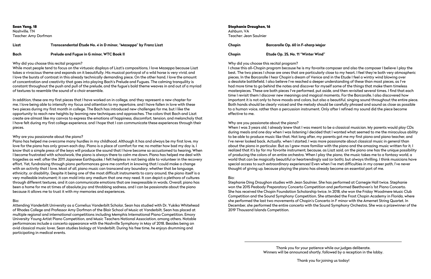Sean Yang, 18 Nashville, TN Teacher: Amy Dorfman

#### **Liszt Transcendental Étude No. 4 in D minor, "Mazeppa" by Franz Liszt**

## **Bach Prelude and Fugue in G minor, WTC Book II**

#### Why did you choose this recital program?

While most people tend to focus on the virtuosic displays of Liszt's compositions, I love Mazeppa because Liszt takes a vivacious theme and expands on it beautifully. His musical portrayal of a wild horse is very vivid, and I love the bursts of contrast in this already technically demanding piece. On the other hand, I love the amount of concentration and creativity that goes into playing Bach's Prelude and Fugues. The calming tranquility is constant throughout the push and pull of the prelude, and the fugue's bold theme weaves in and out of a myriad of textures to resemble the sound of a choir ensemble.

In addition, these are my first pieces that I have worked on in college, and they represent a new chapter for me. I love being able to intensify my focus and attention to my repertoire, and I have fallen in love with these two pieces during my first month in college. The Bach has introduced new challenges for me, but I like the opportunity to reach new heights by learning new techniques and approaches. The colors that Bach and Liszt create are almost like my canvas to express the emotions of happiness, discomfort, tension, and melancholy that I have felt during my first college experience, and I hope that I can communicate these experiences through their pieces.

#### Why are you passionate about the piano?

Piano has helped me overcome many hurdles in my childhood. Although it has and always be my first love, my love for the piano has only grown each day. Piano is a place of comfort for me; no matter how bad my day is, I know that a simple press of the keys will produce the sound that I have become so accustomed to hearing. When I become frustrated with schoolwork, the piano is always there to calm me down. Piano has helped me deal with tragedies as well; after the 2011 Japanese Earthquake, I felt helpless in not being able to volunteer in the recovery effort. Yet, fundraising through piano performances gave me comfort in knowing that I could make a change with an activity that I love. Most of all, piano music can transcend any boundary, whether that be language, ethnicity, or disability. Despite it being one of the most difficult instruments to carry around, the piano itself is a very malleable instrument; it can mold into any medium that one may need. It can depict a plethora of cultures through different textures, and it can communicate emotions that are inexpressible in words. Overall, piano has been a home for me at times of absolute joy and throbbing sadness, and I can be passionate about the piano because it allows me to trust it with my memories and experiences.

#### Bio:

Attending Vanderbilt University as a Cornelius Vanderbilt Scholar, Sean has studied with Dr. Yukiko Whitehead of Rhodes College and Professor Amy Dorfman of the Blair School of Music at Vanderbilt. Sean has placed at multiple regional and international competitions including Memphis International Piano Competition, Emory University Young Artist Piano Competition, and Music Teachers National Association, among others. Notable performances include a concerto appearance with the Nashville Symphony in May of 2018. Besides being an avid classical music lover, Sean studies biology at Vanderbilt. During his free time, he enjoys drumming and participating in medical events.

#### Stephanie Draughon, 16

Ashburn, VA Teacher: Jean Saulnier

**Chopin Barcarolle Op. 60 in F-sharp Major**

#### **Chopin Etude Op. 25, No. 11 "Winter Wind"**

Why did you choose this recital program? I chose this all-Chopin program because he is my favorite composer and also the composer I believe I play the best. The two pieces I chose are ones that are particularly close to my heart. I feel they're both very atmospheric pieces. In the Barcarolle I hear Chopin's dream of Venice and in the Etude I feel a wintry wind blowing over a desolate battlefield. I also believe I've reached a deeper understanding of these than most pieces, as I've had more time to go behind the notes and discover for myself some of the things that make them timeless masterpieces. These are both pieces I've performed, put aside, and then revisited several times. I find that each time I revisit them I discover new meanings and magical moments. For the Barcarolle, I also discovered how important it is not only to have moods and colors, but also a beautiful, singing sound throughout the entire piece. Both hands should be clearly voiced and the melody should be carefully phrased and sound as close as possible to a human voice, rather than a percussion instrument. Only after I refined my sound did the piece become effective to me.

#### Why are you passionate about the piano?

When I was 3 years old, I already knew that I was meant to be a classical musician. My parents would play CDs during meals and one day when I was listening I decided that I wanted what seemed to me the miraculous ability to be able to produce music like that. Not long after, my parents got me my first piano and piano teacher, and I've never looked back. Actually, when I started, I was more passionate about classical music in general than about the piano in particular. But as I grew more familiar with the piano and the amazina music written for it, I realized that it's by far my favorite instrument, because, as Liszt said, on the piano one has the unique possibility of producing the colors of an entire orchestra. When I play the piano, the music takes me to a fantasy world, a world that can be magically beautiful or heartrendingly sad (or both), but always thrilling. I think musicians have special access to such extraordinary experiences! Even when I've met difficulties in my career path, I've never thought of giving up, because playing the piano has already become an essential part of me.

#### Bio:

Stephanie Ding Draughon studies with Jean Saulnier. She has performed at Carnegie Hall twice. Stephanie won the 2015 Peabody Preparatory Concerto Competition and performed Beethoven's 1st Piano Concerto. She has received the Chopin Foundation Scholarship twice. In 2018, she won the Friday Woodmere Music Club Competition and the Sound Symphony Competition. She attended the Frost Chopin Academy in Florida, where she performed the last two movements of Chopin's Concerto in F minor with the Amernet String Quartet. In December, she performed the entire concerto with the Sound Symphony Orchestra. She was a prizewinner of the 2019 Thousand Islands Competition.

> Thank you for your patience while our judges deliberate. Winners will be announced shortly, followed by a reception in the lobby.

Thank you for joining us today!